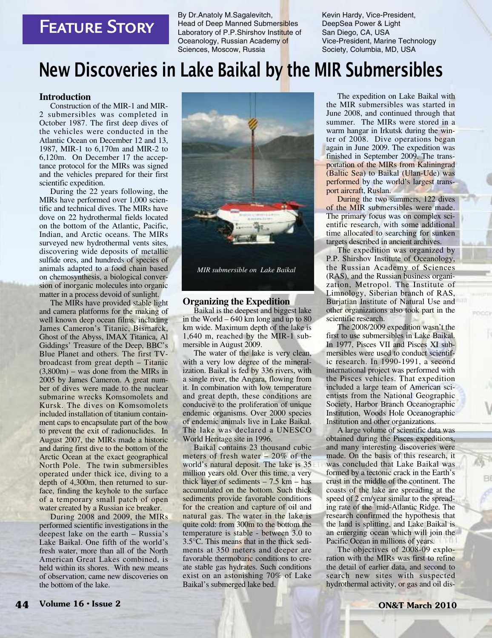## **FEATURE STORY**

By Dr.Anatoly M.Sagalevitch, Head of Deep Manned Submersibles Laboratory of P.P.Shirshov Institute of Oceanology, Russian Academy of Sciences, Moscow, Russia

Kevin Hardy, Vice-President, DeepSea Power & Light San Diego, CA, USA Vice-President, Marine Technology Society, Columbia, MD, USA

# **New Discoveries in Lake Baikal by the MIR Submersibles**

#### **Introduction**

Construction of the MIR-1 and MIR-2 submersibles was completed in October 1987. The first deep dives of the vehicles were conducted in the Atlantic Ocean on December 12 and 13, 1987, MIR-1 to 6,170m and MIR-2 to 6,120m. On December 17 the acceptance protocol for the MIRs was signed and the vehicles prepared for their first scientific expedition.

During the 22 years following, the MIRs have performed over 1,000 scientific and technical dives. The MIRs have dove on 22 hydrothermal fields located on the bottom of the Atlantic, Pacific, Indian, and Arctic oceans. The MIRs surveyed new hydrothermal vents sites, discovering wide deposits of metallic sulfide ores, and hundreds of species of animals adapted to a food chain based on chemosynthesis, a biological conversion of inorganic molecules into organic matter in a process devoid of sunlight.

The MIRs have provided stable light and camera platforms for the making of well known deep ocean films, including James Cameron's Titanic, Bismarck, Ghost of the Abyss, IMAX Titanica, Al Giddings' Treasure of the Deep, BBC's Blue Planet and others. The first TVbroadcast from great depth – Titanic (3,800m) – was done from the MIRs in 2005 by James Cameron. A great number of dives were made to the nuclear submarine wrecks Komsomolets and Kursk. The dives on Komsomolets included installation of titanium containment caps to encapsulate part of the bow to prevent the exit of radionuclides. In August 2007, the MIRs made a historic and daring first dive to the bottom of the Arctic Ocean at the exact geographical North Pole. The twin submersibles operated under thick ice, diving to a depth of 4,300m, then returned to surface, finding the keyhole to the surface of a temporary small patch of open water created by a Russian ice breaker.

During 2008 and 2009, the MIRs performed scientific investigations in the deepest lake on the earth – Russia's Lake Baikal. One fifth of the world's fresh water, more than all of the North American Great Lakes combined, is held within its shores. With new means of observation, came new discoveries on





#### **Organizing the Expedition**

Baikal is the deepest and biggest lake in the World – 640 km long and up to 80 km wide. Maximum depth of the lake is 1,640 m, reached by the MIR-1 submersible in August 2009.

The water of the lake is very clean, with a very low degree of the mineralization. Baikal is fed by 336 rivers, with a single river, the Angara, flowing from it. In combination with low temperature and great depth, these conditions are conducive to the proliferation of unique endemic organisms. Over 2000 species of endemic animals live in Lake Baikal. The lake was declared a UNESCO World Heritage site in 1996.

Baikal contains 23 thousand cubic meters of fresh water – 20% of the world's natural deposit. The lake is 35 million years old. Over this time, a very thick layer of sediments  $-7.5$  km  $-$  has accumulated on the bottom. Such thick sediments provide favorable conditions for the creation and capture of oil and natural gas. The water in the lake is quite cold: from 300m to the bottom the temperature is stable - between 3.0 to 3.5°C. This means that in the thick sediments at 350 meters and deeper are favorable thermobaric conditions to create stable gas hydrates. Such conditions exist on an astonishing 70% of Lake Baikal's submerged lake bed.

The expedition on Lake Baikal with the MIR submersibles was started in June 2008, and continued through that summer. The MIRs were stored in a warm hangar in Irkutsk during the winter of 2008. Dive operations began again in June 2009. The expedition was finished in September 2009. The transportation of the MIRs from Kaliningrad (Baltic Sea) to Baikal (Ulan-Ude) was performed by the world's largest transport aircraft, Ruslan.

During the two summers, 122 dives of the MIR submersibles were made. The primary focus was on complex scientific research, with some additional time allocated to searching for sunken targets described in ancient archives.

The expedition was organized by P.P. Shirshov Institute of Oceanology, the Russian Academy of Sciences (RAS), and the Russian business organization, Metropol. The Institute of Limnology, Siberian branch of RAS, Burjatian Institute of Natural Use and other organizations also took part in the scientific research.

The 2008/2009 expedition wasn't the first to use submersibles in Lake Baikal. In 1977, Pisces VII and Pisces XI submersibles were used to conduct scientific research. In 1990-1991, a second international project was performed with the Pisces vehicles. That expedition included a large team of American scientists from the National Geographic Society, Harbor Branch Oceanographic Institution, Woods Hole Oceanographic Institution and other organizations.

A large volume of scientific data was obtained during the Pisces expeditions, and many interesting discoveries were made. On the basis of this research, it was concluded that Lake Baikal was formed by a tectonic crack in the Earth's crust in the middle of the continent. The coasts of the lake are spreading at the speed of 2 cm/year similar to the spreading rate of the mid-Atlantic Ridge. The research confirmed the hypothesis that the land is splitting, and Lake Baikal is an emerging ocean which will join the Pacific Ocean in millions of years.

The objectives of 2008-09 exploration with the MIRs was first to refine the detail of earlier data, and second to search new sites with suspected hydrothermal activity, or gas and oil dis-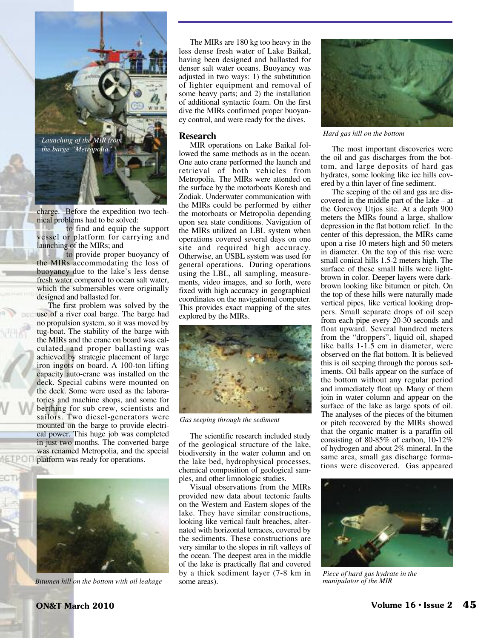

charge. Before the expedition two technical problems had to be solved:

to find and equip the support vessel or platform for carrying and launching of the MIRs; and

to provide proper buoyancy of the MIRs accommodating the loss of buoyancy due to the lake's less dense fresh water compared to ocean salt water, which the submersibles were originally designed and ballasted for.

The first problem was solved by the use of a river coal barge. The barge had no propulsion system, so it was moved by tug-boat. The stability of the barge with the MIRs and the crane on board was calculated, and proper ballasting was achieved by strategic placement of large iron ingots on board. A 100-ton lifting capacity auto-crane was installed on the deck. Special cabins were mounted on the deck. Some were used as the laboratories and machine shops, and some for berthing for sub crew, scientists and sailors. Two diesel-generators were mounted on the barge to provide electrical power. This huge job was completed in just two months. The converted barge was renamed Metropolia, and the special platform was ready for operations.



*Bitumen hill on the bottom with oil leakage*

The MIRs are 180 kg too heavy in the less dense fresh water of Lake Baikal, having been designed and ballasted for denser salt water oceans. Buoyancy was adjusted in two ways: 1) the substitution of lighter equipment and removal of some heavy parts; and 2) the installation of additional syntactic foam. On the first dive the MIRs confirmed proper buoyancy control, and were ready for the dives.

#### **Research**

MIR operations on Lake Baikal followed the same methods as in the ocean. One auto crane performed the launch and retrieval of both vehicles from Metropolia. The MIRs were attended on the surface by the motorboats Koresh and Zodiak. Underwater communication with the MIRs could be performed by either the motorboats or Metropolia depending upon sea state conditions. Navigation of the MIRs utilized an LBL system when operations covered several days on one site and required high accuracy. Otherwise, an USBL system was used for general operations. During operations using the LBL, all sampling, measurements, video images, and so forth, were fixed with high accuracy in geographical coordinates on the navigational computer. This provides exact mapping of the sites explored by the MIRs.



*Gas seeping through the sediment*

The scientific research included study of the geological structure of the lake, biodiversity in the water column and on the lake bed, hydrophysical processes, chemical composition of geological samples, and other limnologic studies.

Visual observations from the MIRs provided new data about tectonic faults on the Western and Eastern slopes of the lake. They have similar constructions, looking like vertical fault breaches, alternated with horizontal terraces, covered by the sediments. These constructions are very similar to the slopes in rift valleys of the ocean. The deepest area in the middle of the lake is practically flat and covered by a thick sediment layer (7-8 km in some areas).



The most important discoveries were the oil and gas discharges from the bottom, and large deposits of hard gas hydrates, some looking like ice hills covered by a thin layer of fine sediment.

The seeping of the oil and gas are discovered in the middle part of the lake – at the Gorevoy Utjos site. At a depth 900 meters the MIRs found a large, shallow depression in the flat bottom relief. In the center of this depression, the MIRs came upon a rise 10 meters high and 50 meters in diameter. On the top of this rise were small conical hills 1.5-2 meters high. The surface of these small hills were lightbrown in color. Deeper layers were darkbrown looking like bitumen or pitch. On the top of these hills were naturally made vertical pipes, like vertical looking droppers. Small separate drops of oil seep from each pipe every 20-30 seconds and float upward. Several hundred meters from the "droppers", liquid oil, shaped like balls 1-1.5 cm in diameter, were observed on the flat bottom. It is believed this is oil seeping through the porous sediments. Oil balls appear on the surface of the bottom without any regular period and immediately float up. Many of them join in water column and appear on the surface of the lake as large spots of oil. The analyses of the pieces of the bitumen or pitch recovered by the MIRs showed that the organic matter is a paraffin oil consisting of 80-85% of carbon, 10-12% of hydrogen and about 2% mineral. In the same area, small gas discharge formations were discovered. Gas appeared



*Piece of hard gas hydrate in the manipulator of the MIR*